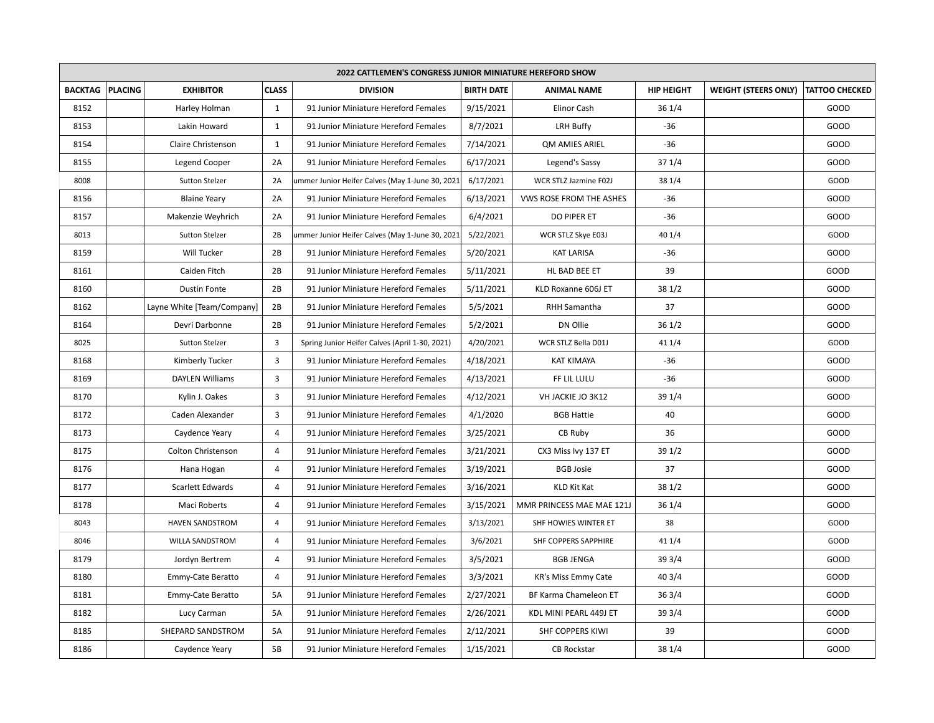| <b>2022 CATTLEMEN'S CONGRESS JUNIOR MINIATURE HEREFORD SHOW</b> |         |                            |                |                                                  |                   |                            |                   |                             |                       |
|-----------------------------------------------------------------|---------|----------------------------|----------------|--------------------------------------------------|-------------------|----------------------------|-------------------|-----------------------------|-----------------------|
| <b>BACKTAG</b>                                                  | PLACING | <b>EXHIBITOR</b>           | <b>CLASS</b>   | <b>DIVISION</b>                                  | <b>BIRTH DATE</b> | <b>ANIMAL NAME</b>         | <b>HIP HEIGHT</b> | <b>WEIGHT (STEERS ONLY)</b> | <b>TATTOO CHECKED</b> |
| 8152                                                            |         | Harley Holman              | $\mathbf{1}$   | 91 Junior Miniature Hereford Females             | 9/15/2021         | Elinor Cash                | 36 1/4            |                             | GOOD                  |
| 8153                                                            |         | Lakin Howard               | 1              | 91 Junior Miniature Hereford Females             | 8/7/2021          | LRH Buffy                  | $-36$             |                             | GOOD                  |
| 8154                                                            |         | Claire Christenson         | $\mathbf{1}$   | 91 Junior Miniature Hereford Females             | 7/14/2021         | <b>QM AMIES ARIEL</b>      | $-36$             |                             | GOOD                  |
| 8155                                                            |         | <b>Legend Cooper</b>       | 2A             | 91 Junior Miniature Hereford Females             | 6/17/2021         | Legend's Sassy             | 371/4             |                             | GOOD                  |
| 8008                                                            |         | <b>Sutton Stelzer</b>      | 2A             | ummer Junior Heifer Calves (May 1-June 30, 2021) | 6/17/2021         | WCR STLZ Jazmine F02J      | 38 1/4            |                             | GOOD                  |
| 8156                                                            |         | <b>Blaine Yeary</b>        | 2A             | 91 Junior Miniature Hereford Females             | 6/13/2021         | VWS ROSE FROM THE ASHES    | $-36$             |                             | GOOD                  |
| 8157                                                            |         | Makenzie Weyhrich          | 2A             | 91 Junior Miniature Hereford Females             | 6/4/2021          | DO PIPER ET                | $-36$             |                             | GOOD                  |
| 8013                                                            |         | <b>Sutton Stelzer</b>      | 2B             | ummer Junior Heifer Calves (May 1-June 30, 2021) | 5/22/2021         | WCR STLZ Skye E03J         | 40 1/4            |                             | GOOD                  |
| 8159                                                            |         | Will Tucker                | 2B             | 91 Junior Miniature Hereford Females             | 5/20/2021         | <b>KAT LARISA</b>          | $-36$             |                             | GOOD                  |
| 8161                                                            |         | Caiden Fitch               | 2B             | 91 Junior Miniature Hereford Females             | 5/11/2021         | HL BAD BEE ET              | 39                |                             | GOOD                  |
| 8160                                                            |         | <b>Dustin Fonte</b>        | 2B             | 91 Junior Miniature Hereford Females             | 5/11/2021         | KLD Roxanne 606J ET        | 381/2             |                             | GOOD                  |
| 8162                                                            |         | Layne White [Team/Company] | 2B             | 91 Junior Miniature Hereford Females             | 5/5/2021          | <b>RHH Samantha</b>        | 37                |                             | GOOD                  |
| 8164                                                            |         | Devri Darbonne             | 2B             | 91 Junior Miniature Hereford Females             | 5/2/2021          | DN Ollie                   | 361/2             |                             | GOOD                  |
| 8025                                                            |         | Sutton Stelzer             | 3              | Spring Junior Heifer Calves (April 1-30, 2021)   | 4/20/2021         | WCR STLZ Bella D01J        | 41 1/4            |                             | GOOD                  |
| 8168                                                            |         | Kimberly Tucker            | $\overline{3}$ | 91 Junior Miniature Hereford Females             | 4/18/2021         | <b>KAT KIMAYA</b>          | $-36$             |                             | GOOD                  |
| 8169                                                            |         | <b>DAYLEN Williams</b>     | $\overline{3}$ | 91 Junior Miniature Hereford Females             | 4/13/2021         | FF LIL LULU                | $-36$             |                             | GOOD                  |
| 8170                                                            |         | Kylin J. Oakes             | $\overline{3}$ | 91 Junior Miniature Hereford Females             | 4/12/2021         | VH JACKIE JO 3K12          | 39 1/4            |                             | GOOD                  |
| 8172                                                            |         | Caden Alexander            | $\overline{3}$ | 91 Junior Miniature Hereford Females             | 4/1/2020          | <b>BGB Hattie</b>          | 40                |                             | GOOD                  |
| 8173                                                            |         | Caydence Yeary             | $\overline{4}$ | 91 Junior Miniature Hereford Females             | 3/25/2021         | CB Ruby                    | 36                |                             | GOOD                  |
| 8175                                                            |         | Colton Christenson         | $\overline{4}$ | 91 Junior Miniature Hereford Females             | 3/21/2021         | CX3 Miss Ivy 137 ET        | 39 1/2            |                             | GOOD                  |
| 8176                                                            |         | Hana Hogan                 | 4              | 91 Junior Miniature Hereford Females             | 3/19/2021         | <b>BGB Josie</b>           | 37                |                             | GOOD                  |
| 8177                                                            |         | Scarlett Edwards           | $\overline{4}$ | 91 Junior Miniature Hereford Females             | 3/16/2021         | KLD Kit Kat                | 38 1/2            |                             | GOOD                  |
| 8178                                                            |         | Maci Roberts               | $\overline{4}$ | 91 Junior Miniature Hereford Females             | 3/15/2021         | MMR PRINCESS MAE MAE 121J  | 361/4             |                             | GOOD                  |
| 8043                                                            |         | <b>HAVEN SANDSTROM</b>     | $\overline{4}$ | 91 Junior Miniature Hereford Females             | 3/13/2021         | SHF HOWIES WINTER ET       | 38                |                             | GOOD                  |
| 8046                                                            |         | WILLA SANDSTROM            | $\overline{4}$ | 91 Junior Miniature Hereford Females             | 3/6/2021          | SHF COPPERS SAPPHIRE       | 41 1/4            |                             | GOOD                  |
| 8179                                                            |         | Jordyn Bertrem             | $\overline{4}$ | 91 Junior Miniature Hereford Females             | 3/5/2021          | <b>BGB JENGA</b>           | 39 3/4            |                             | GOOD                  |
| 8180                                                            |         | Emmy-Cate Beratto          | $\overline{4}$ | 91 Junior Miniature Hereford Females             | 3/3/2021          | <b>KR's Miss Emmy Cate</b> | 403/4             |                             | GOOD                  |
| 8181                                                            |         | Emmy-Cate Beratto          | 5A             | 91 Junior Miniature Hereford Females             | 2/27/2021         | BF Karma Chameleon ET      | 363/4             |                             | GOOD                  |
| 8182                                                            |         | Lucy Carman                | 5A             | 91 Junior Miniature Hereford Females             | 2/26/2021         | KDL MINI PEARL 449J ET     | 393/4             |                             | GOOD                  |
| 8185                                                            |         | SHEPARD SANDSTROM          | 5A             | 91 Junior Miniature Hereford Females             | 2/12/2021         | SHF COPPERS KIWI           | 39                |                             | GOOD                  |
| 8186                                                            |         | Caydence Yeary             | 5B             | 91 Junior Miniature Hereford Females             | 1/15/2021         | <b>CB Rockstar</b>         | 38 1/4            |                             | GOOD                  |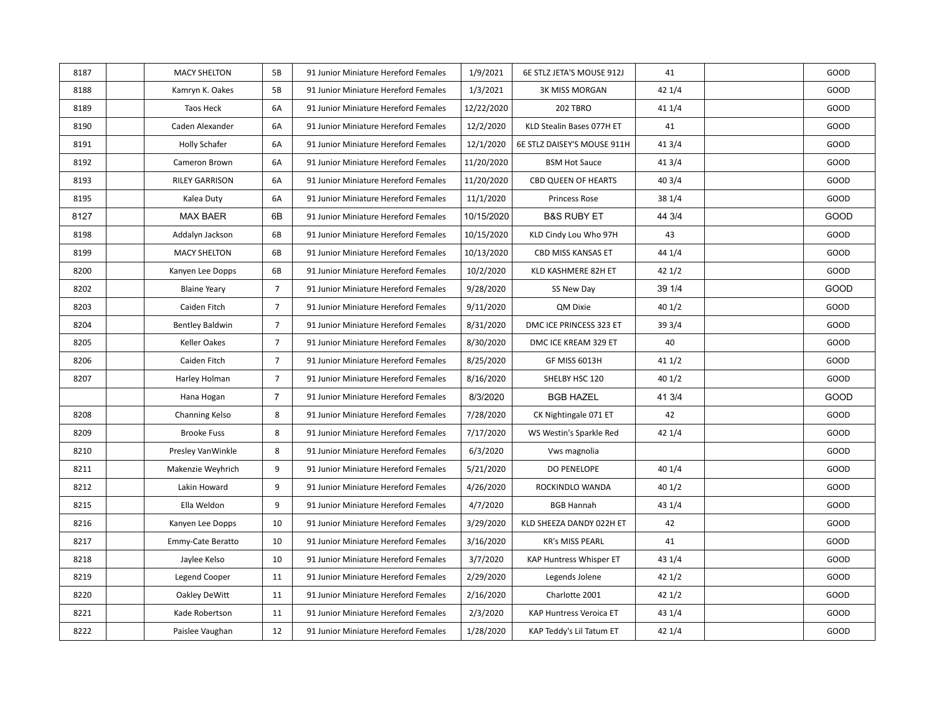| 8187 | <b>MACY SHELTON</b>    | 5B              | 91 Junior Miniature Hereford Females | 1/9/2021   | 6E STLZ JETA'S MOUSE 912J   | 41     | GOOD        |
|------|------------------------|-----------------|--------------------------------------|------------|-----------------------------|--------|-------------|
| 8188 | Kamryn K. Oakes        | 5B              | 91 Junior Miniature Hereford Females | 1/3/2021   | <b>3K MISS MORGAN</b>       | 421/4  | GOOD        |
| 8189 | Taos Heck              | 6A              | 91 Junior Miniature Hereford Females | 12/22/2020 | 202 TBRO                    | 41 1/4 | GOOD        |
| 8190 | Caden Alexander        | 6A              | 91 Junior Miniature Hereford Females | 12/2/2020  | KLD Stealin Bases 077H ET   | 41     | GOOD        |
| 8191 | <b>Holly Schafer</b>   | 6A              | 91 Junior Miniature Hereford Females | 12/1/2020  | 6E STLZ DAISEY'S MOUSE 911H | 413/4  | GOOD        |
| 8192 | Cameron Brown          | 6A              | 91 Junior Miniature Hereford Females | 11/20/2020 | <b>BSM Hot Sauce</b>        | 413/4  | GOOD        |
| 8193 | <b>RILEY GARRISON</b>  | 6A              | 91 Junior Miniature Hereford Females | 11/20/2020 | <b>CBD QUEEN OF HEARTS</b>  | 403/4  | GOOD        |
| 8195 | Kalea Duty             | 6A              | 91 Junior Miniature Hereford Females | 11/1/2020  | Princess Rose               | 38 1/4 | GOOD        |
| 8127 | <b>MAX BAER</b>        | 6B              | 91 Junior Miniature Hereford Females | 10/15/2020 | <b>B&amp;S RUBY ET</b>      | 44 3/4 | <b>GOOD</b> |
| 8198 | Addalyn Jackson        | 6B              | 91 Junior Miniature Hereford Females | 10/15/2020 | KLD Cindy Lou Who 97H       | 43     | GOOD        |
| 8199 | <b>MACY SHELTON</b>    | 6B              | 91 Junior Miniature Hereford Females | 10/13/2020 | CBD MISS KANSAS ET          | 44 1/4 | GOOD        |
| 8200 | Kanyen Lee Dopps       | 6B              | 91 Junior Miniature Hereford Females | 10/2/2020  | KLD KASHMERE 82H ET         | 42 1/2 | GOOD        |
| 8202 | <b>Blaine Yeary</b>    | $\overline{7}$  | 91 Junior Miniature Hereford Females | 9/28/2020  | SS New Day                  | 39 1/4 | <b>GOOD</b> |
| 8203 | Caiden Fitch           | $\overline{7}$  | 91 Junior Miniature Hereford Females | 9/11/2020  | QM Dixie                    | 401/2  | GOOD        |
| 8204 | <b>Bentley Baldwin</b> | $\overline{7}$  | 91 Junior Miniature Hereford Females | 8/31/2020  | DMC ICE PRINCESS 323 ET     | 39 3/4 | GOOD        |
| 8205 | <b>Keller Oakes</b>    | $\overline{7}$  | 91 Junior Miniature Hereford Females | 8/30/2020  | DMC ICE KREAM 329 ET        | 40     | GOOD        |
| 8206 | Caiden Fitch           | $\overline{7}$  | 91 Junior Miniature Hereford Females | 8/25/2020  | GF MISS 6013H               | 411/2  | GOOD        |
| 8207 | Harley Holman          | $7\overline{ }$ | 91 Junior Miniature Hereford Females | 8/16/2020  | SHELBY HSC 120              | 401/2  | GOOD        |
|      | Hana Hogan             | $\overline{7}$  | 91 Junior Miniature Hereford Females | 8/3/2020   | <b>BGB HAZEL</b>            | 41 3/4 | GOOD        |
| 8208 | Channing Kelso         | 8               | 91 Junior Miniature Hereford Females | 7/28/2020  | CK Nightingale 071 ET       | 42     | GOOD        |
| 8209 | <b>Brooke Fuss</b>     | 8               | 91 Junior Miniature Hereford Females | 7/17/2020  | WS Westin's Sparkle Red     | 421/4  | GOOD        |
| 8210 | Presley VanWinkle      | 8               | 91 Junior Miniature Hereford Females | 6/3/2020   | Vws magnolia                |        | GOOD        |
| 8211 | Makenzie Weyhrich      | 9               | 91 Junior Miniature Hereford Females | 5/21/2020  | <b>DO PENELOPE</b>          | 40 1/4 | GOOD        |
| 8212 | Lakin Howard           | 9               | 91 Junior Miniature Hereford Females | 4/26/2020  | ROCKINDLO WANDA             | 401/2  | GOOD        |
| 8215 | Ella Weldon            | 9               | 91 Junior Miniature Hereford Females | 4/7/2020   | <b>BGB Hannah</b>           | 43 1/4 | GOOD        |
| 8216 | Kanyen Lee Dopps       | 10              | 91 Junior Miniature Hereford Females | 3/29/2020  | KLD SHEEZA DANDY 022H ET    | 42     | GOOD        |
| 8217 | Emmy-Cate Beratto      | 10              | 91 Junior Miniature Hereford Females | 3/16/2020  | <b>KR's MISS PEARL</b>      | 41     | GOOD        |
| 8218 | Jaylee Kelso           | 10              | 91 Junior Miniature Hereford Females | 3/7/2020   | KAP Huntress Whisper ET     | 43 1/4 | GOOD        |
| 8219 | Legend Cooper          | 11              | 91 Junior Miniature Hereford Females | 2/29/2020  | Legends Jolene              | 421/2  | GOOD        |
| 8220 | Oakley DeWitt          | 11              | 91 Junior Miniature Hereford Females | 2/16/2020  | Charlotte 2001              | 421/2  | GOOD        |
| 8221 | Kade Robertson         | 11              | 91 Junior Miniature Hereford Females | 2/3/2020   | KAP Huntress Veroica ET     | 43 1/4 | GOOD        |
| 8222 | Paislee Vaughan        | 12              | 91 Junior Miniature Hereford Females | 1/28/2020  | KAP Teddy's Lil Tatum ET    | 421/4  | GOOD        |
|      |                        |                 |                                      |            |                             |        |             |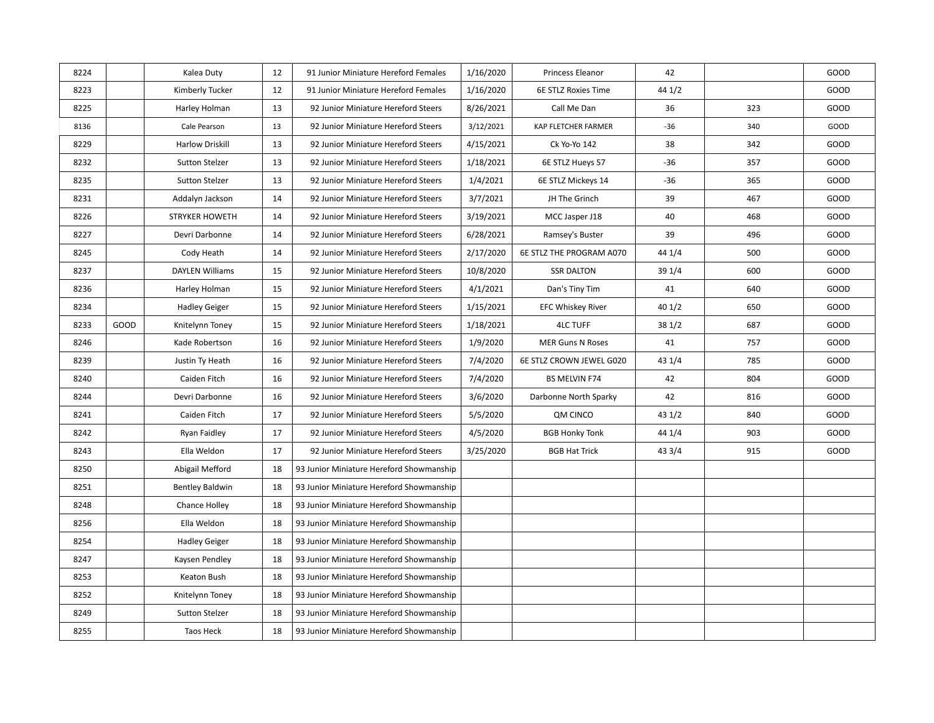| 8224 |      | Kalea Duty             | 12 | 91 Junior Miniature Hereford Females     | 1/16/2020 | Princess Eleanor         | 42     |     | GOOD |
|------|------|------------------------|----|------------------------------------------|-----------|--------------------------|--------|-----|------|
| 8223 |      | Kimberly Tucker        | 12 | 91 Junior Miniature Hereford Females     |           | 6E STLZ Roxies Time      | 44 1/2 |     | GOOD |
|      |      |                        |    |                                          | 1/16/2020 |                          |        |     |      |
| 8225 |      | Harley Holman          | 13 | 92 Junior Miniature Hereford Steers      | 8/26/2021 | Call Me Dan              | 36     | 323 | GOOD |
| 8136 |      | Cale Pearson           | 13 | 92 Junior Miniature Hereford Steers      | 3/12/2021 | KAP FLETCHER FARMER      | -36    | 340 | GOOD |
| 8229 |      | <b>Harlow Driskill</b> | 13 | 92 Junior Miniature Hereford Steers      | 4/15/2021 | Ck Yo-Yo 142             | 38     | 342 | GOOD |
| 8232 |      | Sutton Stelzer         | 13 | 92 Junior Miniature Hereford Steers      | 1/18/2021 | 6E STLZ Hueys 57         | $-36$  | 357 | GOOD |
| 8235 |      | <b>Sutton Stelzer</b>  | 13 | 92 Junior Miniature Hereford Steers      | 1/4/2021  | 6E STLZ Mickeys 14       | -36    | 365 | GOOD |
| 8231 |      | Addalyn Jackson        | 14 | 92 Junior Miniature Hereford Steers      | 3/7/2021  | JH The Grinch            | 39     | 467 | GOOD |
| 8226 |      | <b>STRYKER HOWETH</b>  | 14 | 92 Junior Miniature Hereford Steers      | 3/19/2021 | MCC Jasper J18           | 40     | 468 | GOOD |
| 8227 |      | Devri Darbonne         | 14 | 92 Junior Miniature Hereford Steers      | 6/28/2021 | Ramsey's Buster          | 39     | 496 | GOOD |
| 8245 |      | Cody Heath             | 14 | 92 Junior Miniature Hereford Steers      | 2/17/2020 | 6E STLZ THE PROGRAM A070 | 44 1/4 | 500 | GOOD |
| 8237 |      | <b>DAYLEN Williams</b> | 15 | 92 Junior Miniature Hereford Steers      | 10/8/2020 | <b>SSR DALTON</b>        | 39 1/4 | 600 | GOOD |
| 8236 |      | Harley Holman          | 15 | 92 Junior Miniature Hereford Steers      | 4/1/2021  | Dan's Tiny Tim           | 41     | 640 | GOOD |
| 8234 |      | <b>Hadley Geiger</b>   | 15 | 92 Junior Miniature Hereford Steers      | 1/15/2021 | <b>EFC Whiskey River</b> | 401/2  | 650 | GOOD |
| 8233 | GOOD | Knitelynn Toney        | 15 | 92 Junior Miniature Hereford Steers      | 1/18/2021 | <b>4LC TUFF</b>          | 381/2  | 687 | GOOD |
| 8246 |      | Kade Robertson         | 16 | 92 Junior Miniature Hereford Steers      | 1/9/2020  | <b>MER Guns N Roses</b>  | 41     | 757 | GOOD |
| 8239 |      | Justin Ty Heath        | 16 | 92 Junior Miniature Hereford Steers      | 7/4/2020  | 6E STLZ CROWN JEWEL G020 | 43 1/4 | 785 | GOOD |
| 8240 |      | Caiden Fitch           | 16 | 92 Junior Miniature Hereford Steers      | 7/4/2020  | <b>BS MELVIN F74</b>     | 42     | 804 | GOOD |
| 8244 |      | Devri Darbonne         | 16 | 92 Junior Miniature Hereford Steers      | 3/6/2020  | Darbonne North Sparky    | 42     | 816 | GOOD |
| 8241 |      | Caiden Fitch           | 17 | 92 Junior Miniature Hereford Steers      | 5/5/2020  | QM CINCO                 | 431/2  | 840 | GOOD |
| 8242 |      | Ryan Faidley           | 17 | 92 Junior Miniature Hereford Steers      | 4/5/2020  | <b>BGB Honky Tonk</b>    | 44 1/4 | 903 | GOOD |
| 8243 |      | Ella Weldon            | 17 | 92 Junior Miniature Hereford Steers      | 3/25/2020 | <b>BGB Hat Trick</b>     | 43 3/4 | 915 | GOOD |
| 8250 |      | Abigail Mefford        | 18 | 93 Junior Miniature Hereford Showmanship |           |                          |        |     |      |
| 8251 |      | <b>Bentley Baldwin</b> | 18 | 93 Junior Miniature Hereford Showmanship |           |                          |        |     |      |
| 8248 |      | <b>Chance Holley</b>   | 18 | 93 Junior Miniature Hereford Showmanship |           |                          |        |     |      |
| 8256 |      | Ella Weldon            | 18 | 93 Junior Miniature Hereford Showmanship |           |                          |        |     |      |
| 8254 |      | <b>Hadley Geiger</b>   | 18 | 93 Junior Miniature Hereford Showmanship |           |                          |        |     |      |
| 8247 |      | Kaysen Pendley         | 18 | 93 Junior Miniature Hereford Showmanship |           |                          |        |     |      |
| 8253 |      | Keaton Bush            | 18 | 93 Junior Miniature Hereford Showmanship |           |                          |        |     |      |
| 8252 |      | Knitelynn Toney        | 18 | 93 Junior Miniature Hereford Showmanship |           |                          |        |     |      |
| 8249 |      | Sutton Stelzer         | 18 | 93 Junior Miniature Hereford Showmanship |           |                          |        |     |      |
| 8255 |      | Taos Heck              | 18 | 93 Junior Miniature Hereford Showmanship |           |                          |        |     |      |
|      |      |                        |    |                                          |           |                          |        |     |      |